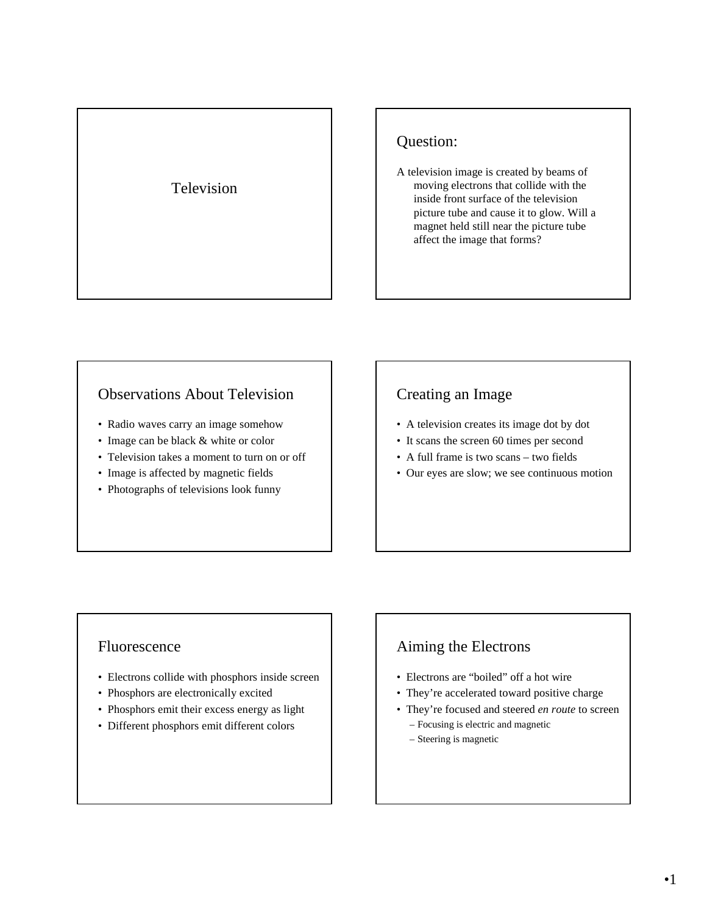## Television

## Question:

A television image is created by beams of moving electrons that collide with the inside front surface of the television picture tube and cause it to glow. Will a magnet held still near the picture tube affect the image that forms?

### Observations About Television

- Radio waves carry an image somehow
- Image can be black & white or color
- Television takes a moment to turn on or off
- Image is affected by magnetic fields
- Photographs of televisions look funny

## Creating an Image

- A television creates its image dot by dot
- It scans the screen 60 times per second
- A full frame is two scans two fields
- Our eyes are slow; we see continuous motion

#### Fluorescence

- Electrons collide with phosphors inside screen
- Phosphors are electronically excited
- Phosphors emit their excess energy as light
- Different phosphors emit different colors

### Aiming the Electrons

- Electrons are "boiled" off a hot wire
- They're accelerated toward positive charge
- They're focused and steered *en route* to screen
	- Focusing is electric and magnetic
	- Steering is magnetic